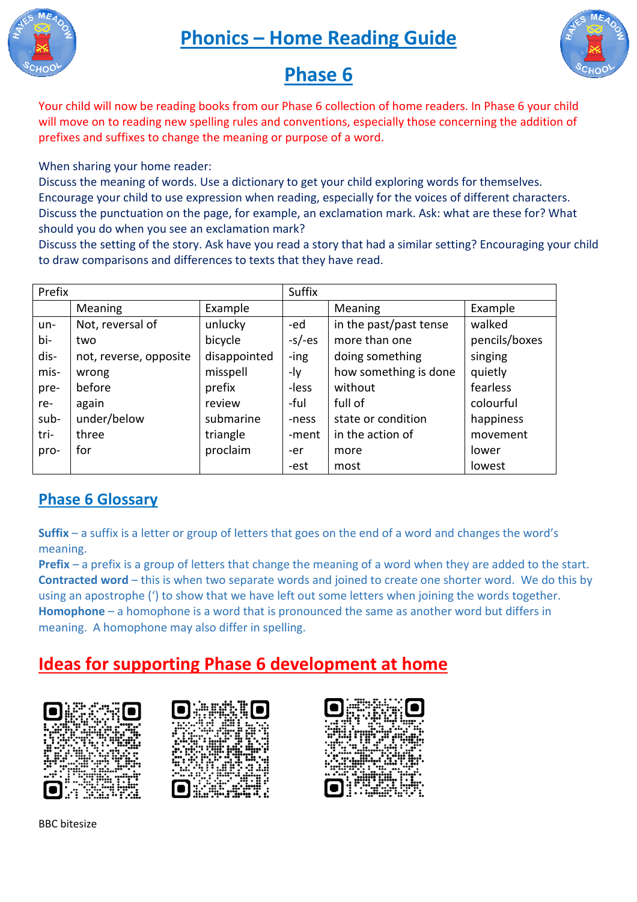**Phonics – Home Reading Guide**





# **Phase 6**

Your child will now be reading books from our Phase 6 collection of home readers. In Phase 6 your child will move on to reading new spelling rules and conventions, especially those concerning the addition of prefixes and suffixes to change the meaning or purpose of a word.

#### When sharing your home reader:

Discuss the meaning of words. Use a dictionary to get your child exploring words for themselves. Encourage your child to use expression when reading, especially for the voices of different characters. Discuss the punctuation on the page, for example, an exclamation mark. Ask: what are these for? What should you do when you see an exclamation mark? ices of different c<br>sk: what are these<br>r setting? Encoura<br><br><br><br><br><br><br><br><br><br><br><br><br><br><br><br><br><br><br><br><br><br><br><br><br><br><br><br><br><br><br><br><br>

Discuss the setting of the story. Ask have you read a story that had a similar setting? Encouraging your child to draw comparisons and differences to texts that they have read.

| Prefix |                        |              | Suffix    |                        |               |
|--------|------------------------|--------------|-----------|------------------------|---------------|
|        | <b>Meaning</b>         | Example      |           | Meaning                | Example       |
| un-    | Not, reversal of       | unlucky      | -ed       | in the past/past tense | walked        |
| bi-    | two                    | bicycle      | $-s$ /-es | more than one          | pencils/boxes |
| dis-   | not, reverse, opposite | disappointed | -ing      | doing something        | singing       |
| mis-   | wrong                  | misspell     | -ly       | how something is done  | quietly       |
| pre-   | before                 | prefix       | -less     | without                | fearless      |
| re-    | again                  | review       | -ful      | full of                | colourful     |
| sub-   | under/below            | submarine    | -ness     | state or condition     | happiness     |
| tri-   | three                  | triangle     | -ment     | in the action of       | movement      |
| pro-   | for                    | proclaim     | -er       | more                   | lower         |
|        |                        |              | -est      | most                   | lowest        |

### **Phase 6 Glossary**

**Suffix** – a suffix is a letter or group of letters that goes on the end of a word and changes the word's meaning.

**Prefix** – a prefix is a group of letters that change the meaning of a word when they are added to the start. **Contracted word** – this is when two separate words and joined to create one shorter word. We do this by using an apostrophe (') to show that we have left out some letters when joining the words together. Homophone - a homophone is a word that is pronounced the same as another word but differs in meaning. A homophone may also differ in spelling.

# **Ideas for supporting Phase 6 6 development at home**